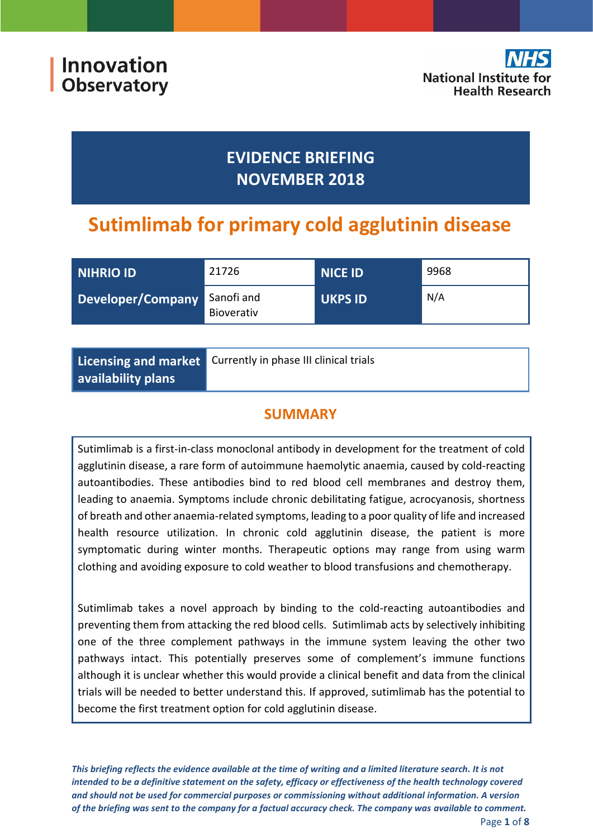

# **EVIDENCE BRIEFING NOVEMBER 2018**

# **Sutimlimab for primary cold agglutinin disease**

| NIHRIO ID         | 21726                    | <b>NICE ID</b> | 9968 |
|-------------------|--------------------------|----------------|------|
| Developer/Company | Sanofi and<br>Bioverativ | <b>UKPS ID</b> | N/A  |

|                    | Licensing and market Currently in phase III clinical trials |
|--------------------|-------------------------------------------------------------|
| availability plans |                                                             |

## **SUMMARY**

Sutimlimab is a first-in-class monoclonal antibody in development for the treatment of cold agglutinin disease, a rare form of autoimmune haemolytic anaemia, caused by cold-reacting autoantibodies. These antibodies bind to red blood cell membranes and destroy them, leading to anaemia. Symptoms include chronic debilitating fatigue, acrocyanosis, shortness of breath and other anaemia-related symptoms, leading to a poor quality of life and increased health resource utilization. In chronic cold agglutinin disease, the patient is more symptomatic during winter months. Therapeutic options may range from using warm clothing and avoiding exposure to cold weather to blood transfusions and chemotherapy.

Sutimlimab takes a novel approach by binding to the cold-reacting autoantibodies and preventing them from attacking the red blood cells. Sutimlimab acts by selectively inhibiting one of the three complement pathways in the immune system leaving the other two pathways intact. This potentially preserves some of complement's immune functions although it is unclear whether this would provide a clinical benefit and data from the clinical trials will be needed to better understand this. If approved, sutimlimab has the potential to become the first treatment option for cold agglutinin disease.

*This briefing reflects the evidence available at the time of writing and a limited literature search. It is not intended to be a definitive statement on the safety, efficacy or effectiveness of the health technology covered and should not be used for commercial purposes or commissioning without additional information. A version of the briefing was sent to the company for a factual accuracy check. The company was available to comment.*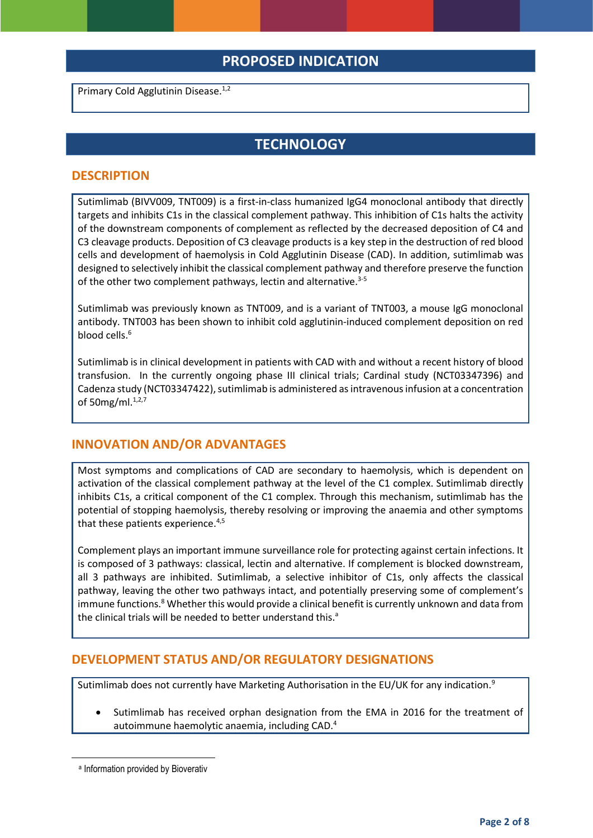## **PROPOSED INDICATION**

Primary Cold Agglutinin Disease.<sup>1,2</sup>

## **TECHNOLOGY**

#### **DESCRIPTION**

Sutimlimab (BIVV009, TNT009) is a first-in-class humanized IgG4 monoclonal antibody that directly targets and inhibits C1s in the classical complement pathway. This inhibition of C1s halts the activity of the downstream components of complement as reflected by the decreased deposition of C4 and C3 cleavage products. Deposition of C3 cleavage products is a key step in the destruction of red blood cells and development of haemolysis in Cold Agglutinin Disease (CAD). In addition, sutimlimab was designed to selectively inhibit the classical complement pathway and therefore preserve the function of the other two complement pathways, lectin and alternative.<sup>3-5</sup>

Sutimlimab was previously known as TNT009, and is a variant of TNT003, a mouse IgG monoclonal antibody. TNT003 has been shown to inhibit cold agglutinin‐induced complement deposition on red blood cells.<sup>6</sup>

Sutimlimab is in clinical development in patients with CAD with and without a recent history of blood transfusion. In the currently ongoing phase III clinical trials; Cardinal study (NCT03347396) and Cadenza study (NCT03347422), sutimlimab is administered as intravenous infusion at a concentration of 50mg/ml.1,2,7

#### **INNOVATION AND/OR ADVANTAGES**

Most symptoms and complications of CAD are secondary to haemolysis, which is dependent on activation of the classical complement pathway at the level of the C1 complex. Sutimlimab directly inhibits C1s, a critical component of the C1 complex. Through this mechanism, sutimlimab has the potential of stopping haemolysis, thereby resolving or improving the anaemia and other symptoms that these patients experience.<sup>4,5</sup>

Complement plays an important immune surveillance role for protecting against certain infections. It is composed of 3 pathways: classical, lectin and alternative. If complement is blocked downstream, all 3 pathways are inhibited. Sutimlimab, a selective inhibitor of C1s, only affects the classical pathway, leaving the other two pathways intact, and potentially preserving some of complement's immune functions.<sup>8</sup> Whether this would provide a clinical benefit is currently unknown and data from the clinical trials will be needed to better understand this.<sup>a</sup>

#### **DEVELOPMENT STATUS AND/OR REGULATORY DESIGNATIONS**

Sutimlimab does not currently have Marketing Authorisation in the EU/UK for any indication.<sup>9</sup>

 Sutimlimab has received orphan designation from the EMA in 2016 for the treatment of autoimmune haemolytic anaemia, including CAD. 4

**.** 

a Information provided by Bioverativ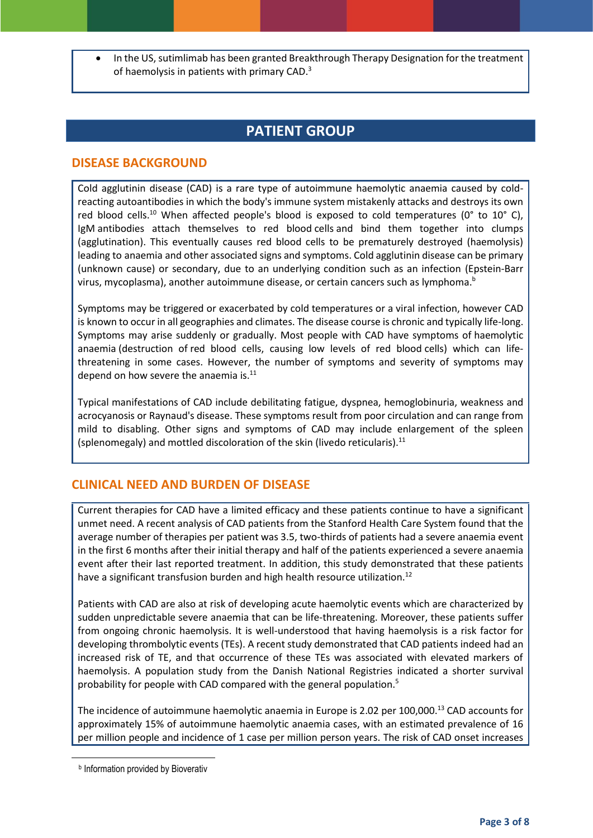In the US, sutimlimab has been granted Breakthrough Therapy Designation for the treatment of haemolysis in patients with primary CAD.<sup>3</sup>

## **PATIENT GROUP**

#### **DISEASE BACKGROUND**

Cold agglutinin disease (CAD) is a rare type of autoimmune haemolytic anaemia caused by coldreacting autoantibodies in which the body's immune system mistakenly attacks and destroys its own red blood cells.<sup>10</sup> When affected people's blood is exposed to cold temperatures ( $0^{\circ}$  to  $10^{\circ}$  C), IgM antibodies attach themselves to red blood cells and bind them together into clumps (agglutination). This eventually causes red blood cells to be prematurely destroyed (haemolysis) leading to anaemia and other associated signs and symptoms. Cold agglutinin disease can be primary (unknown cause) or secondary, due to an underlying condition such as an infection (Epstein-Barr virus, mycoplasma), another autoimmune disease, or certain cancers such as lymphoma.<sup>b</sup>

Symptoms may be triggered or exacerbated by cold temperatures or a viral infection, however CAD is known to occur in all geographies and climates. The disease course is chronic and typically life-long. Symptoms may arise suddenly or gradually. Most people with CAD have symptoms of haemolytic anaemia (destruction of red blood cells, causing low levels of red blood cells) which can lifethreatening in some cases. However, the number of symptoms and severity of symptoms may depend on how severe the anaemia is. $^{11}$ 

Typical manifestations of CAD include debilitating fatigue, dyspnea, hemoglobinuria, weakness and acrocyanosis or Raynaud's disease. These symptoms result from poor circulation and can range from mild to disabling. Other signs and symptoms of CAD may include enlargement of the spleen (splenomegaly) and mottled discoloration of the skin (livedo reticularis).<sup>11</sup>

#### **CLINICAL NEED AND BURDEN OF DISEASE**

Current therapies for CAD have a limited efficacy and these patients continue to have a significant unmet need. A recent analysis of CAD patients from the Stanford Health Care System found that the average number of therapies per patient was 3.5, two-thirds of patients had a severe anaemia event in the first 6 months after their initial therapy and half of the patients experienced a severe anaemia event after their last reported treatment. In addition, this study demonstrated that these patients have a significant transfusion burden and high health resource utilization.<sup>12</sup>

Patients with CAD are also at risk of developing acute haemolytic events which are characterized by sudden unpredictable severe anaemia that can be life-threatening. Moreover, these patients suffer from ongoing chronic haemolysis. It is well-understood that having haemolysis is a risk factor for developing thrombolytic events (TEs). A recent study demonstrated that CAD patients indeed had an increased risk of TE, and that occurrence of these TEs was associated with elevated markers of haemolysis. A population study from the Danish National Registries indicated a shorter survival probability for people with CAD compared with the general population.<sup>5</sup>

The incidence of autoimmune haemolytic anaemia in Europe is 2.02 per 100,000.<sup>13</sup> CAD accounts for approximately 15% of autoimmune haemolytic anaemia cases, with an estimated prevalence of 16 per million people and incidence of 1 case per million person years. The risk of CAD onset increases

**.** 

**b** Information provided by Bioverativ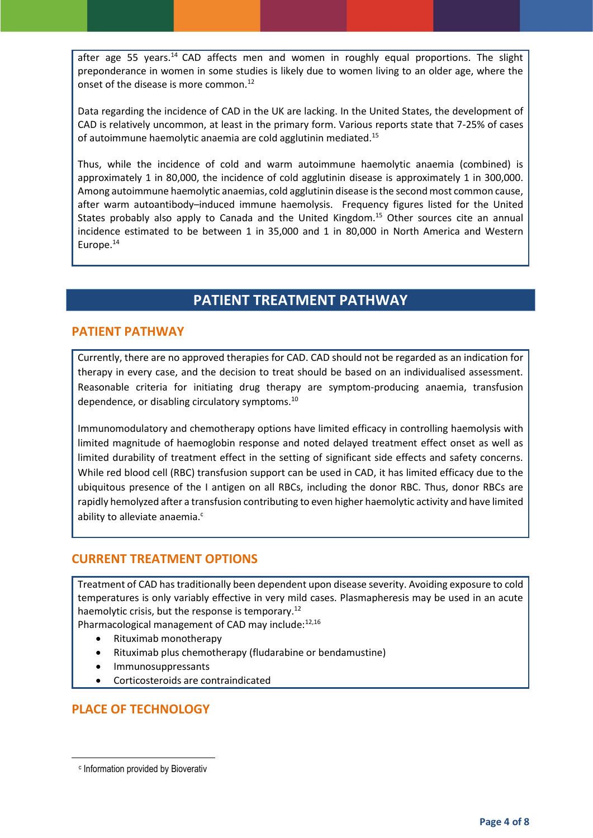after age 55 years.<sup>14</sup> CAD affects men and women in roughly equal proportions. The slight preponderance in women in some studies is likely due to women living to an older age, where the onset of the disease is more common.<sup>12</sup>

Data regarding the incidence of CAD in the UK are lacking. In the United States, the development of CAD is relatively uncommon, at least in the primary form. Various reports state that 7-25% of cases of autoimmune haemolytic anaemia are cold agglutinin mediated.<sup>15</sup>

Thus, while the incidence of cold and warm autoimmune haemolytic anaemia (combined) is approximately 1 in 80,000, the incidence of cold agglutinin disease is approximately 1 in 300,000. Among autoimmune haemolytic anaemias, cold agglutinin disease is the second most common cause, after warm autoantibody–induced immune haemolysis. Frequency figures listed for the United States probably also apply to Canada and the United Kingdom.<sup>15</sup> Other sources cite an annual incidence estimated to be between 1 in 35,000 and 1 in 80,000 in North America and Western Europe.<sup>14</sup>

## **PATIENT TREATMENT PATHWAY**

#### **PATIENT PATHWAY**

Currently, there are no approved therapies for CAD. CAD should not be regarded as an indication for therapy in every case, and the decision to treat should be based on an individualised assessment. Reasonable criteria for initiating drug therapy are symptom‐producing anaemia, transfusion dependence, or disabling circulatory symptoms. $^{10}$ 

Immunomodulatory and chemotherapy options have limited efficacy in controlling haemolysis with limited magnitude of haemoglobin response and noted delayed treatment effect onset as well as limited durability of treatment effect in the setting of significant side effects and safety concerns. While red blood cell (RBC) transfusion support can be used in CAD, it has limited efficacy due to the ubiquitous presence of the I antigen on all RBCs, including the donor RBC. Thus, donor RBCs are rapidly hemolyzed after a transfusion contributing to even higher haemolytic activity and have limited ability to alleviate anaemia.<sup>c</sup>

#### **CURRENT TREATMENT OPTIONS**

Treatment of CAD has traditionally been dependent upon disease severity. Avoiding exposure to cold temperatures is only variably effective in very mild cases. Plasmapheresis may be used in an acute haemolytic crisis, but the response is temporary.<sup>12</sup>

Pharmacological management of CAD may include: 12,16

- Rituximab monotherapy
- Rituximab plus chemotherapy (fludarabine or bendamustine)
- Immunosuppressants
- Corticosteroids are contraindicated

## **PLACE OF TECHNOLOGY**

**.** 

c Information provided by Bioverativ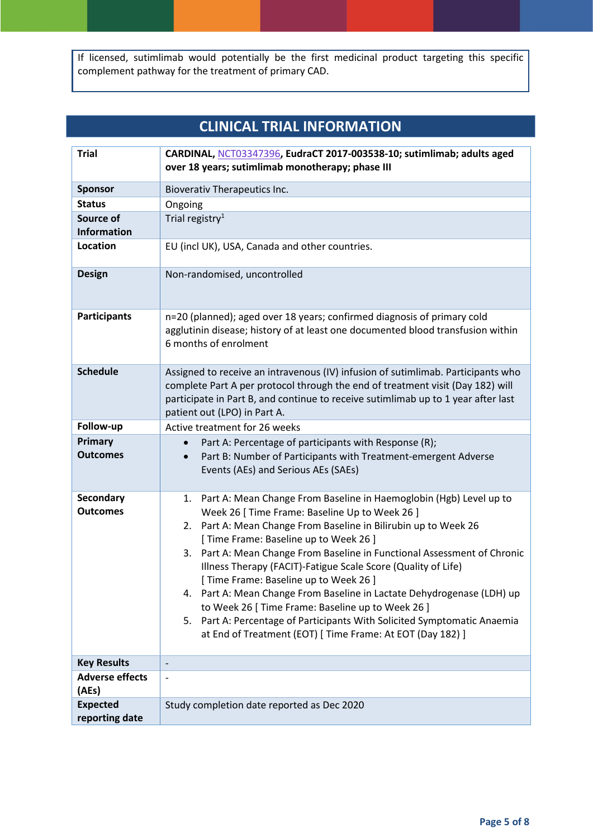If licensed, sutimlimab would potentially be the first medicinal product targeting this specific complement pathway for the treatment of primary CAD.

## **CLINICAL TRIAL INFORMATION**

| <b>Trial</b>                        | CARDINAL, NCT03347396, EudraCT 2017-003538-10; sutimlimab; adults aged<br>over 18 years; sutimlimab monotherapy; phase III                                                                                                                                                                                                                                                                                                                                                                                                                                                                                                                                                                              |  |  |
|-------------------------------------|---------------------------------------------------------------------------------------------------------------------------------------------------------------------------------------------------------------------------------------------------------------------------------------------------------------------------------------------------------------------------------------------------------------------------------------------------------------------------------------------------------------------------------------------------------------------------------------------------------------------------------------------------------------------------------------------------------|--|--|
| <b>Sponsor</b>                      | <b>Bioverativ Therapeutics Inc.</b>                                                                                                                                                                                                                                                                                                                                                                                                                                                                                                                                                                                                                                                                     |  |  |
| <b>Status</b>                       | Ongoing                                                                                                                                                                                                                                                                                                                                                                                                                                                                                                                                                                                                                                                                                                 |  |  |
| Source of                           | Trial registry <sup>1</sup>                                                                                                                                                                                                                                                                                                                                                                                                                                                                                                                                                                                                                                                                             |  |  |
| <b>Information</b>                  |                                                                                                                                                                                                                                                                                                                                                                                                                                                                                                                                                                                                                                                                                                         |  |  |
| <b>Location</b>                     | EU (incl UK), USA, Canada and other countries.                                                                                                                                                                                                                                                                                                                                                                                                                                                                                                                                                                                                                                                          |  |  |
| <b>Design</b>                       | Non-randomised, uncontrolled                                                                                                                                                                                                                                                                                                                                                                                                                                                                                                                                                                                                                                                                            |  |  |
| <b>Participants</b>                 | n=20 (planned); aged over 18 years; confirmed diagnosis of primary cold<br>agglutinin disease; history of at least one documented blood transfusion within<br>6 months of enrolment                                                                                                                                                                                                                                                                                                                                                                                                                                                                                                                     |  |  |
| <b>Schedule</b>                     | Assigned to receive an intravenous (IV) infusion of sutimlimab. Participants who<br>complete Part A per protocol through the end of treatment visit (Day 182) will<br>participate in Part B, and continue to receive sutimlimab up to 1 year after last<br>patient out (LPO) in Part A.                                                                                                                                                                                                                                                                                                                                                                                                                 |  |  |
| Follow-up                           | Active treatment for 26 weeks                                                                                                                                                                                                                                                                                                                                                                                                                                                                                                                                                                                                                                                                           |  |  |
| Primary<br><b>Outcomes</b>          | Part A: Percentage of participants with Response (R);<br>Part B: Number of Participants with Treatment-emergent Adverse<br>$\bullet$<br>Events (AEs) and Serious AEs (SAEs)                                                                                                                                                                                                                                                                                                                                                                                                                                                                                                                             |  |  |
| <b>Secondary</b><br><b>Outcomes</b> | Part A: Mean Change From Baseline in Haemoglobin (Hgb) Level up to<br>1.<br>Week 26 [ Time Frame: Baseline Up to Week 26 ]<br>2. Part A: Mean Change From Baseline in Bilirubin up to Week 26<br>[ Time Frame: Baseline up to Week 26 ]<br>3. Part A: Mean Change From Baseline in Functional Assessment of Chronic<br>Illness Therapy (FACIT)-Fatigue Scale Score (Quality of Life)<br>[ Time Frame: Baseline up to Week 26 ]<br>4. Part A: Mean Change From Baseline in Lactate Dehydrogenase (LDH) up<br>to Week 26 [ Time Frame: Baseline up to Week 26 ]<br>5. Part A: Percentage of Participants With Solicited Symptomatic Anaemia<br>at End of Treatment (EOT) [ Time Frame: At EOT (Day 182) ] |  |  |
| <b>Key Results</b>                  |                                                                                                                                                                                                                                                                                                                                                                                                                                                                                                                                                                                                                                                                                                         |  |  |
| <b>Adverse effects</b><br>(AEs)     |                                                                                                                                                                                                                                                                                                                                                                                                                                                                                                                                                                                                                                                                                                         |  |  |
| <b>Expected</b><br>reporting date   | Study completion date reported as Dec 2020                                                                                                                                                                                                                                                                                                                                                                                                                                                                                                                                                                                                                                                              |  |  |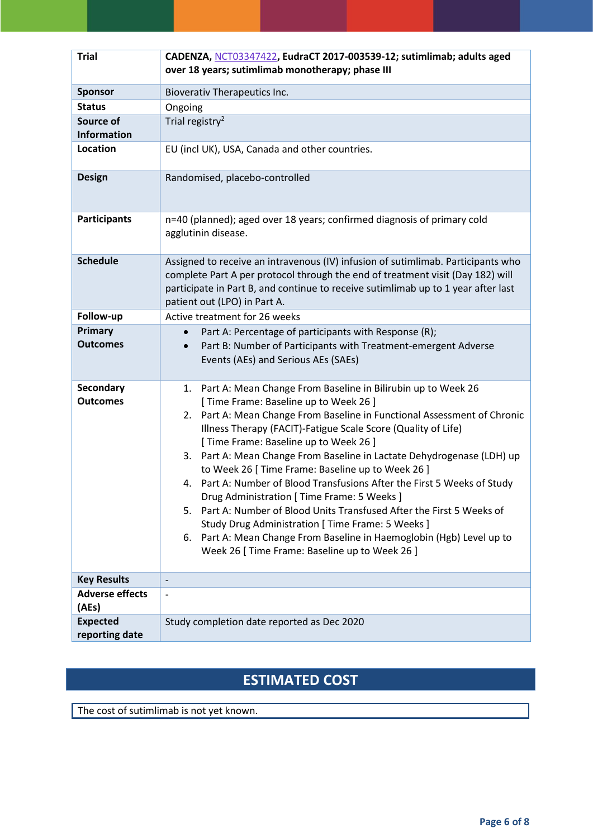| <b>Trial</b>                        | CADENZA, NCT03347422, EudraCT 2017-003539-12; sutimlimab; adults aged<br>over 18 years; sutimlimab monotherapy; phase III                                                                                                                                                                                                                                                                                                                                                                                                                                                                                                                                                                                                                                                                                                  |  |
|-------------------------------------|----------------------------------------------------------------------------------------------------------------------------------------------------------------------------------------------------------------------------------------------------------------------------------------------------------------------------------------------------------------------------------------------------------------------------------------------------------------------------------------------------------------------------------------------------------------------------------------------------------------------------------------------------------------------------------------------------------------------------------------------------------------------------------------------------------------------------|--|
| <b>Sponsor</b>                      | Bioverativ Therapeutics Inc.                                                                                                                                                                                                                                                                                                                                                                                                                                                                                                                                                                                                                                                                                                                                                                                               |  |
| <b>Status</b>                       | Ongoing                                                                                                                                                                                                                                                                                                                                                                                                                                                                                                                                                                                                                                                                                                                                                                                                                    |  |
| Source of                           | Trial registry <sup>2</sup>                                                                                                                                                                                                                                                                                                                                                                                                                                                                                                                                                                                                                                                                                                                                                                                                |  |
| <b>Information</b>                  |                                                                                                                                                                                                                                                                                                                                                                                                                                                                                                                                                                                                                                                                                                                                                                                                                            |  |
| <b>Location</b>                     | EU (incl UK), USA, Canada and other countries.                                                                                                                                                                                                                                                                                                                                                                                                                                                                                                                                                                                                                                                                                                                                                                             |  |
| <b>Design</b>                       | Randomised, placebo-controlled                                                                                                                                                                                                                                                                                                                                                                                                                                                                                                                                                                                                                                                                                                                                                                                             |  |
| <b>Participants</b>                 | n=40 (planned); aged over 18 years; confirmed diagnosis of primary cold<br>agglutinin disease.                                                                                                                                                                                                                                                                                                                                                                                                                                                                                                                                                                                                                                                                                                                             |  |
| <b>Schedule</b>                     | Assigned to receive an intravenous (IV) infusion of sutimlimab. Participants who<br>complete Part A per protocol through the end of treatment visit (Day 182) will<br>participate in Part B, and continue to receive sutimlimab up to 1 year after last<br>patient out (LPO) in Part A.                                                                                                                                                                                                                                                                                                                                                                                                                                                                                                                                    |  |
| Follow-up                           | Active treatment for 26 weeks                                                                                                                                                                                                                                                                                                                                                                                                                                                                                                                                                                                                                                                                                                                                                                                              |  |
| Primary<br><b>Outcomes</b>          | Part A: Percentage of participants with Response (R);<br>$\bullet$<br>Part B: Number of Participants with Treatment-emergent Adverse<br>$\bullet$<br>Events (AEs) and Serious AEs (SAEs)                                                                                                                                                                                                                                                                                                                                                                                                                                                                                                                                                                                                                                   |  |
| <b>Secondary</b><br><b>Outcomes</b> | Part A: Mean Change From Baseline in Bilirubin up to Week 26<br>1.<br>[ Time Frame: Baseline up to Week 26 ]<br>2. Part A: Mean Change From Baseline in Functional Assessment of Chronic<br>Illness Therapy (FACIT)-Fatigue Scale Score (Quality of Life)<br>[ Time Frame: Baseline up to Week 26 ]<br>3. Part A: Mean Change From Baseline in Lactate Dehydrogenase (LDH) up<br>to Week 26 [ Time Frame: Baseline up to Week 26 ]<br>4. Part A: Number of Blood Transfusions After the First 5 Weeks of Study<br>Drug Administration [ Time Frame: 5 Weeks ]<br>Part A: Number of Blood Units Transfused After the First 5 Weeks of<br>5.<br>Study Drug Administration [ Time Frame: 5 Weeks ]<br>6. Part A: Mean Change From Baseline in Haemoglobin (Hgb) Level up to<br>Week 26 [ Time Frame: Baseline up to Week 26 ] |  |
| <b>Key Results</b>                  | $\overline{\phantom{a}}$                                                                                                                                                                                                                                                                                                                                                                                                                                                                                                                                                                                                                                                                                                                                                                                                   |  |
| <b>Adverse effects</b><br>(AEs)     |                                                                                                                                                                                                                                                                                                                                                                                                                                                                                                                                                                                                                                                                                                                                                                                                                            |  |
| <b>Expected</b><br>reporting date   | Study completion date reported as Dec 2020                                                                                                                                                                                                                                                                                                                                                                                                                                                                                                                                                                                                                                                                                                                                                                                 |  |

## **ESTIMATED COST**

The cost of sutimlimab is not yet known.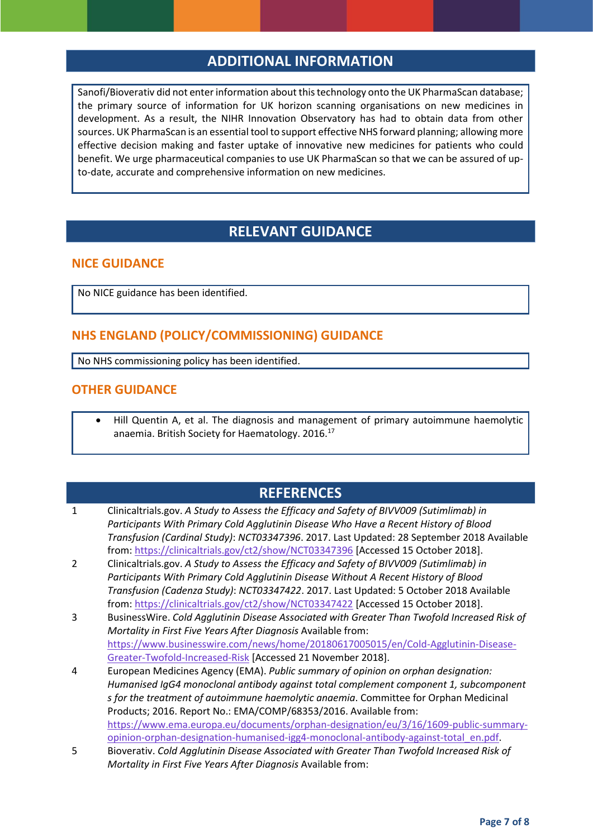## **ADDITIONAL INFORMATION**

Sanofi/Bioverativ did not enter information about this technology onto the UK PharmaScan database; the primary source of information for UK horizon scanning organisations on new medicines in development. As a result, the NIHR Innovation Observatory has had to obtain data from other sources. UK PharmaScan is an essential tool to support effective NHS forward planning; allowing more effective decision making and faster uptake of innovative new medicines for patients who could benefit. We urge pharmaceutical companies to use UK PharmaScan so that we can be assured of upto-date, accurate and comprehensive information on new medicines.

## **RELEVANT GUIDANCE**

#### **NICE GUIDANCE**

No NICE guidance has been identified.

#### **NHS ENGLAND (POLICY/COMMISSIONING) GUIDANCE**

No NHS commissioning policy has been identified.

#### **OTHER GUIDANCE**

 Hill Quentin A, et al. The diagnosis and management of primary autoimmune haemolytic anaemia. British Society for Haematology. 2016.<sup>17</sup>

## **REFERENCES**

- 1 Clinicaltrials.gov. *A Study to Assess the Efficacy and Safety of BIVV009 (Sutimlimab) in Participants With Primary Cold Agglutinin Disease Who Have a Recent History of Blood Transfusion (Cardinal Study)*: *NCT03347396*. 2017. Last Updated: 28 September 2018 Available from:<https://clinicaltrials.gov/ct2/show/NCT03347396> [Accessed 15 October 2018].
- 2 Clinicaltrials.gov. *A Study to Assess the Efficacy and Safety of BIVV009 (Sutimlimab) in Participants With Primary Cold Agglutinin Disease Without A Recent History of Blood Transfusion (Cadenza Study)*: *NCT03347422*. 2017. Last Updated: 5 October 2018 Available from:<https://clinicaltrials.gov/ct2/show/NCT03347422> [Accessed 15 October 2018].
- 3 BusinessWire. *Cold Agglutinin Disease Associated with Greater Than Twofold Increased Risk of Mortality in First Five Years After Diagnosis* Available from: [https://www.businesswire.com/news/home/20180617005015/en/Cold-Agglutinin-Disease-](https://www.businesswire.com/news/home/20180617005015/en/Cold-Agglutinin-Disease-Greater-Twofold-Increased-Risk)[Greater-Twofold-Increased-Risk](https://www.businesswire.com/news/home/20180617005015/en/Cold-Agglutinin-Disease-Greater-Twofold-Increased-Risk) [Accessed 21 November 2018].
- 4 European Medicines Agency (EMA). *Public summary of opinion on orphan designation: Humanised IgG4 monoclonal antibody against total complement component 1, subcomponent s for the treatment of autoimmune haemolytic anaemia*. Committee for Orphan Medicinal Products; 2016. Report No.: EMA/COMP/68353/2016. Available from: [https://www.ema.europa.eu/documents/orphan-designation/eu/3/16/1609-public-summary](https://www.ema.europa.eu/documents/orphan-designation/eu/3/16/1609-public-summary-opinion-orphan-designation-humanised-igg4-monoclonal-antibody-against-total_en.pdf)[opinion-orphan-designation-humanised-igg4-monoclonal-antibody-against-total\\_en.pdf.](https://www.ema.europa.eu/documents/orphan-designation/eu/3/16/1609-public-summary-opinion-orphan-designation-humanised-igg4-monoclonal-antibody-against-total_en.pdf)
- 5 Bioverativ. *Cold Agglutinin Disease Associated with Greater Than Twofold Increased Risk of Mortality in First Five Years After Diagnosis* Available from: